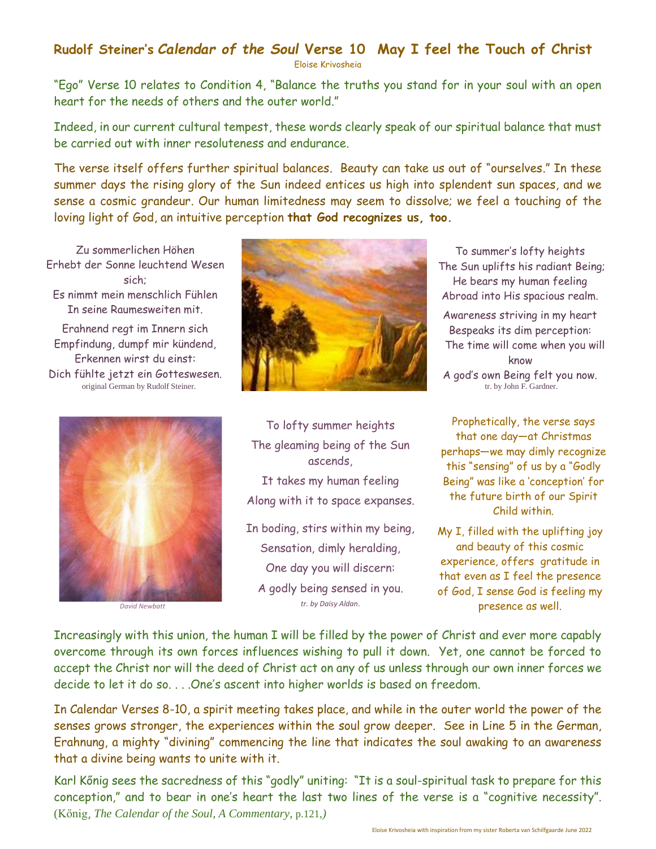## **Rudolf Steiner's** *Calendar of the Soul* **Verse 10 May I feel the Touch of Christ**

Eloise Krivosheia

"Ego" Verse 10 relates to Condition 4, "Balance the truths you stand for in your soul with an open heart for the needs of others and the outer world."

Indeed, in our current cultural tempest, these words clearly speak of our spiritual balance that must be carried out with inner resoluteness and endurance.

The verse itself offers further spiritual balances. Beauty can take us out of "ourselves." In these summer days the rising glory of the Sun indeed entices us high into splendent sun spaces, and we sense a cosmic grandeur. Our human limitedness may seem to dissolve; we feel a touching of the loving light of God, an intuitive perception **that God recognizes us, too.**

Zu sommerlichen Höhen Erhebt der Sonne leuchtend Wesen sich; Es nimmt mein menschlich Fühlen In seine Raumesweiten mit.

Erahnend regt im Innern sich Empfindung, dumpf mir kündend, Erkennen wirst du einst: Dich fühlte jetzt ein Gotteswesen. original German by Rudolf Steiner.



*David Newbatt*



To lofty summer heights The gleaming being of the Sun ascends, It takes my human feeling Along with it to space expanses. In boding, stirs within my being,

Sensation, dimly heralding, One day you will discern: A godly being sensed in you. *tr. by Daisy Aldan*.

To summer's lofty heights The Sun uplifts his radiant Being; He bears my human feeling Abroad into His spacious realm.

Awareness striving in my heart Bespeaks its dim perception: The time will come when you will know A god's own Being felt you now. tr. by John F. Gardner.

Prophetically, the verse says that one day—at Christmas perhaps—we may dimly recognize this "sensing" of us by a "Godly Being" was like a 'conception' for the future birth of our Spirit Child within.

My I, filled with the uplifting joy and beauty of this cosmic experience, offers gratitude in that even as I feel the presence of God, I sense God is feeling my presence as well.

Increasingly with this union, the human I will be filled by the power of Christ and ever more capably overcome through its own forces influences wishing to pull it down. Yet, one cannot be forced to accept the Christ nor will the deed of Christ act on any of us unless through our own inner forces we decide to let it do so. . . .One's ascent into higher worlds is based on freedom.

In Calendar Verses 8-10, a spirit meeting takes place, and while in the outer world the power of the senses grows stronger, the experiences within the soul grow deeper. See in Line 5 in the German, Erahnung, a mighty "divining" commencing the line that indicates the soul awaking to an awareness that a divine being wants to unite with it.

Karl Kőnig sees the sacredness of this "godly" uniting: "It is a soul-spiritual task to prepare for this conception," and to bear in one's heart the last two lines of the verse is a "cognitive necessity". (Kőnig, *The Calendar of the Soul, A Commentary*, p.121,*)*